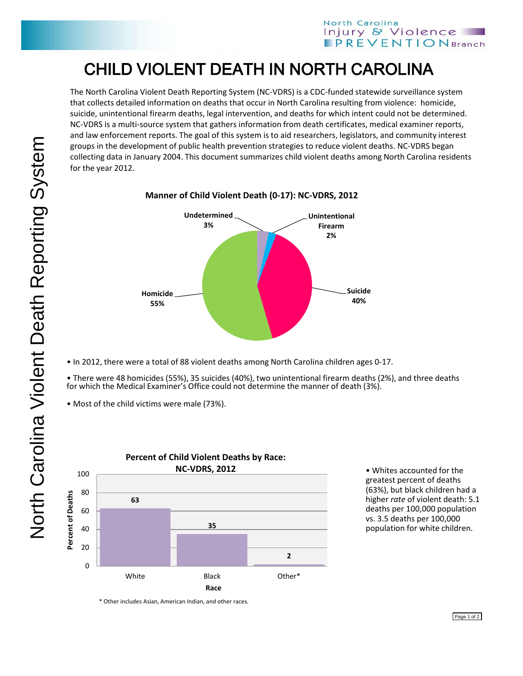## CHILD VIOLENT DEATH IN NORTH CAROLINA

The North Carolina Violent Death Reporting System (NC-VDRS) is a CDC-funded statewide surveillance system that collects detailed information on deaths that occur in North Carolina resulting from violence: homicide, suicide, unintentional firearm deaths, legal intervention, and deaths for which intent could not be determined. NC-VDRS is a multi-source system that gathers information from death certificates, medical examiner reports, and law enforcement reports. The goal of this system is to aid researchers, legislators, and community interest groups in the development of public health prevention strategies to reduce violent deaths. NC-VDRS began collecting data in January 2004. This document summarizes child violent deaths among North Carolina residents for the year 2012.



**Manner of Child Violent Death (0-17): NC-VDRS, 2012**

• In 2012, there were a total of 88 violent deaths among North Carolina children ages 0-17.

• There were 48 homicides (55%), 35 suicides (40%), two unintentional firearm deaths (2%), and three deaths for which the Medical Examiner's Office could not determine the manner of death (3%).

• Most of the child victims were male (73%).



• Whites accounted for the greatest percent of deaths (63%), but black children had a higher *rate* of violent death: 5.1 deaths per 100,000 population vs. 3.5 deaths per 100,000 population for white children.

\* Other includes Asian, American Indian, and other races.